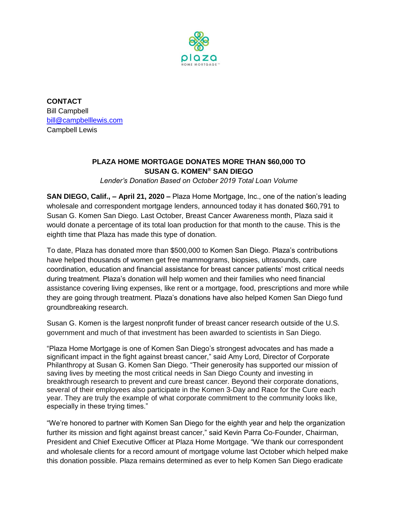

**CONTACT** Bill Campbell [bill@campbelllewis.com](mailto:bill@campbelllewis.com) Campbell Lewis

## **PLAZA HOME MORTGAGE DONATES MORE THAN \$60,000 TO SUSAN G. KOMEN® SAN DIEGO**

*Lender's Donation Based on October 2019 Total Loan Volume*

**SAN DIEGO, Calif., – April 21, 2020 –** Plaza Home Mortgage, Inc., one of the nation's leading wholesale and correspondent mortgage lenders, announced today it has donated \$60,791 to Susan G. Komen San Diego. Last October, Breast Cancer Awareness month, Plaza said it would donate a percentage of its total loan production for that month to the cause. This is the eighth time that Plaza has made this type of donation.

To date, Plaza has donated more than \$500,000 to Komen San Diego. Plaza's contributions have helped thousands of women get free mammograms, biopsies, ultrasounds, care coordination, education and financial assistance for breast cancer patients' most critical needs during treatment. Plaza's donation will help women and their families who need financial assistance covering living expenses, like rent or a mortgage, food, prescriptions and more while they are going through treatment. Plaza's donations have also helped Komen San Diego fund groundbreaking research.

Susan G. Komen is the largest nonprofit funder of breast cancer research outside of the U.S. government and much of that investment has been awarded to scientists in San Diego.

"Plaza Home Mortgage is one of Komen San Diego's strongest advocates and has made a significant impact in the fight against breast cancer," said Amy Lord, Director of Corporate Philanthropy at Susan G. Komen San Diego. "Their generosity has supported our mission of saving lives by meeting the most critical needs in San Diego County and investing in breakthrough research to prevent and cure breast cancer. Beyond their corporate donations, several of their employees also participate in the Komen 3-Day and Race for the Cure each year. They are truly the example of what corporate commitment to the community looks like, especially in these trying times."

"We're honored to partner with Komen San Diego for the eighth year and help the organization further its mission and fight against breast cancer," said Kevin Parra Co-Founder, Chairman, President and Chief Executive Officer at Plaza Home Mortgage. "We thank our correspondent and wholesale clients for a record amount of mortgage volume last October which helped make this donation possible. Plaza remains determined as ever to help Komen San Diego eradicate